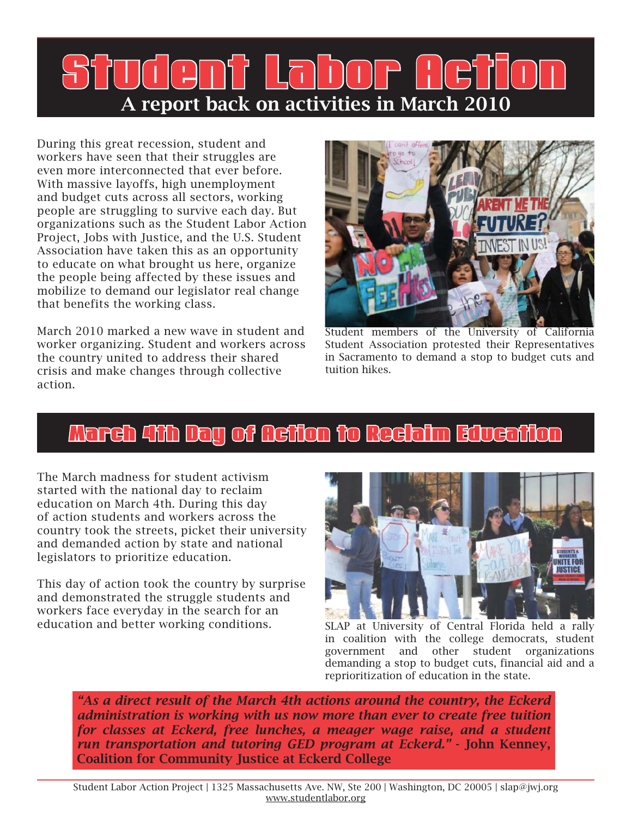## Gni Labor A report back on activities in March 2010

During this great recession, student and workers have seen that their struggles are even more interconnected that ever before. With massive layoffs, high unemployment and budget cuts across all sectors, working people are struggling to survive each day. But organizations such as the Student Labor Action Project, Jobs with Justice, and the U.S. Student Association have taken this as an opportunity to educate on what brought us here, organize the people being affected by these issues and mobilize to demand our legislator real change that benefits the working class.

March 2010 marked a new wave in student and worker organizing. Student and workers across the country united to address their shared crisis and make changes through collective action.



Student members of the University of California Student Association protested their Representatives in Sacramento to demand a stop to budget cuts and tuition hikes.

### March 4th Day of Action to Reclaim Education

The March madness for student activism started with the national day to reclaim education on March 4th. During this day of action students and workers across the country took the streets, picket their university and demanded action by state and national legislators to prioritize education.

This day of action took the country by surprise and demonstrated the struggle students and workers face everyday in the search for an education and better working conditions.



SLAP at University of Central Florida held a rally in coalition with the college democrats, student government and other student organizations demanding a stop to budget cuts, financial aid and a reprioritization of education in the state.

*"As a direct result of the March 4th actions around the country, the Eckerd administration is working with us now more than ever to create free tuition for classes at Eckerd, free lunches, a meager wage raise, and a student run transportation and tutoring GED program at Eckerd."* - John Kenney, Coalition for Community Justice at Eckerd College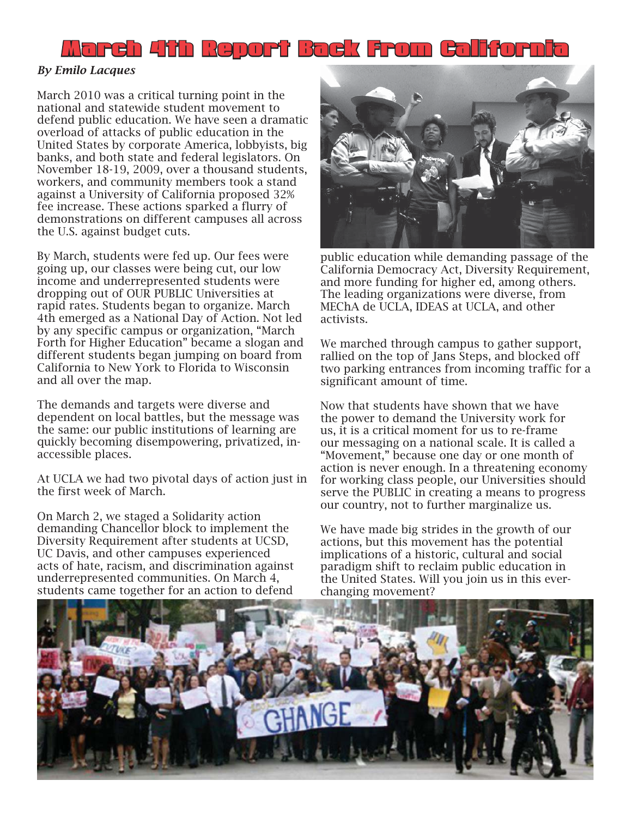

#### *By Emilo Lacques*

March 2010 was a critical turning point in the national and statewide student movement to defend public education. We have seen a dramatic overload of attacks of public education in the United States by corporate America, lobbyists, big banks, and both state and federal legislators. On November 18-19, 2009, over a thousand students, workers, and community members took a stand against a University of California proposed 32% fee increase. These actions sparked a flurry of demonstrations on different campuses all across the U.S. against budget cuts.

By March, students were fed up. Our fees were going up, our classes were being cut, our low income and underrepresented students were dropping out of OUR PUBLIC Universities at rapid rates. Students began to organize. March 4th emerged as a National Day of Action. Not led by any specific campus or organization, "March Forth for Higher Education" became a slogan and different students began jumping on board from California to New York to Florida to Wisconsin and all over the map.

The demands and targets were diverse and dependent on local battles, but the message was the same: our public institutions of learning are quickly becoming disempowering, privatized, inaccessible places.

At UCLA we had two pivotal days of action just in the first week of March.

On March 2, we staged a Solidarity action demanding Chancellor block to implement the Diversity Requirement after students at UCSD, UC Davis, and other campuses experienced acts of hate, racism, and discrimination against underrepresented communities. On March 4, students came together for an action to defend



public education while demanding passage of the California Democracy Act, Diversity Requirement, and more funding for higher ed, among others. The leading organizations were diverse, from MEChA de UCLA, IDEAS at UCLA, and other activists.

We marched through campus to gather support, rallied on the top of Jans Steps, and blocked off two parking entrances from incoming traffic for a significant amount of time.

Now that students have shown that we have the power to demand the University work for us, it is a critical moment for us to re-frame our messaging on a national scale. It is called a "Movement," because one day or one month of action is never enough. In a threatening economy for working class people, our Universities should serve the PUBLIC in creating a means to progress our country, not to further marginalize us.

We have made big strides in the growth of our actions, but this movement has the potential implications of a historic, cultural and social paradigm shift to reclaim public education in the United States. Will you join us in this everchanging movement?

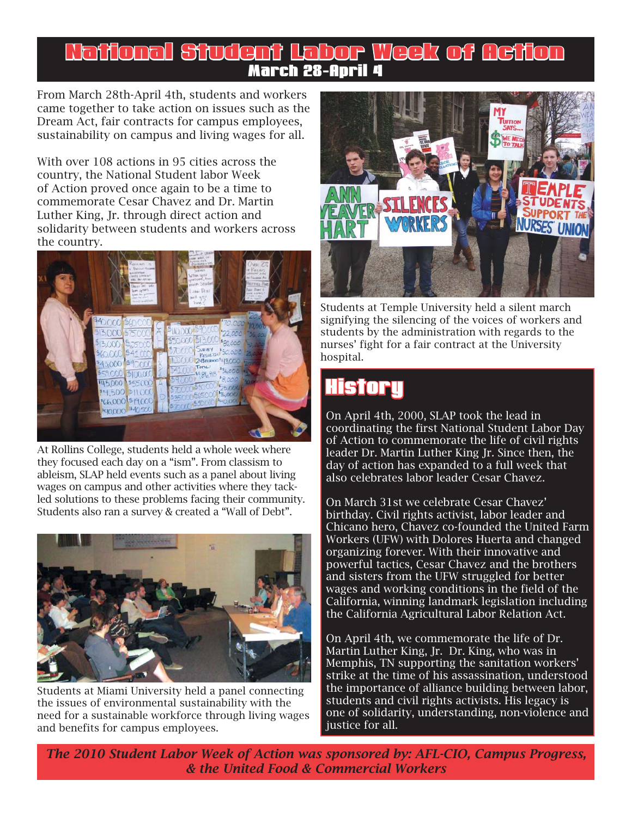#### National Student Labor Week of Action ational March 28-April 4

From March 28th-April 4th, students and workers came together to take action on issues such as the Dream Act, fair contracts for campus employees, sustainability on campus and living wages for all.

With over 108 actions in 95 cities across the country, the National Student labor Week of Action proved once again to be a time to commemorate Cesar Chavez and Dr. Martin Luther King, Jr. through direct action and solidarity between students and workers across the country.



At Rollins College, students held a whole week where they focused each day on a "ism". From classism to ableism, SLAP held events such as a panel about living wages on campus and other activities where they tackled solutions to these problems facing their community. Students also ran a survey & created a "Wall of Debt".



Students at Miami University held a panel connecting the issues of environmental sustainability with the need for a sustainable workforce through living wages and benefits for campus employees.



Students at Temple University held a silent march signifying the silencing of the voices of workers and students by the administration with regards to the nurses' fight for a fair contract at the University hospital.

### **History**

On April 4th, 2000, SLAP took the lead in coordinating the first National Student Labor Day of Action to commemorate the life of civil rights leader Dr. Martin Luther King Jr. Since then, the day of action has expanded to a full week that also celebrates labor leader Cesar Chavez.

On March 31st we celebrate Cesar Chavez' birthday. Civil rights activist, labor leader and Chicano hero, Chavez co-founded the United Farm Workers (UFW) with Dolores Huerta and changed organizing forever. With their innovative and powerful tactics, Cesar Chavez and the brothers and sisters from the UFW struggled for better wages and working conditions in the field of the California, winning landmark legislation including the California Agricultural Labor Relation Act.

On April 4th, we commemorate the life of Dr. Martin Luther King, Jr. Dr. King, who was in Memphis, TN supporting the sanitation workers' strike at the time of his assassination, understood the importance of alliance building between labor, students and civil rights activists. His legacy is one of solidarity, understanding, non-violence and justice for all.

*The 2010 Student Labor Week of Action was sponsored by: AFL-CIO, Campus Progress, & the United Food & Commercial Workers*